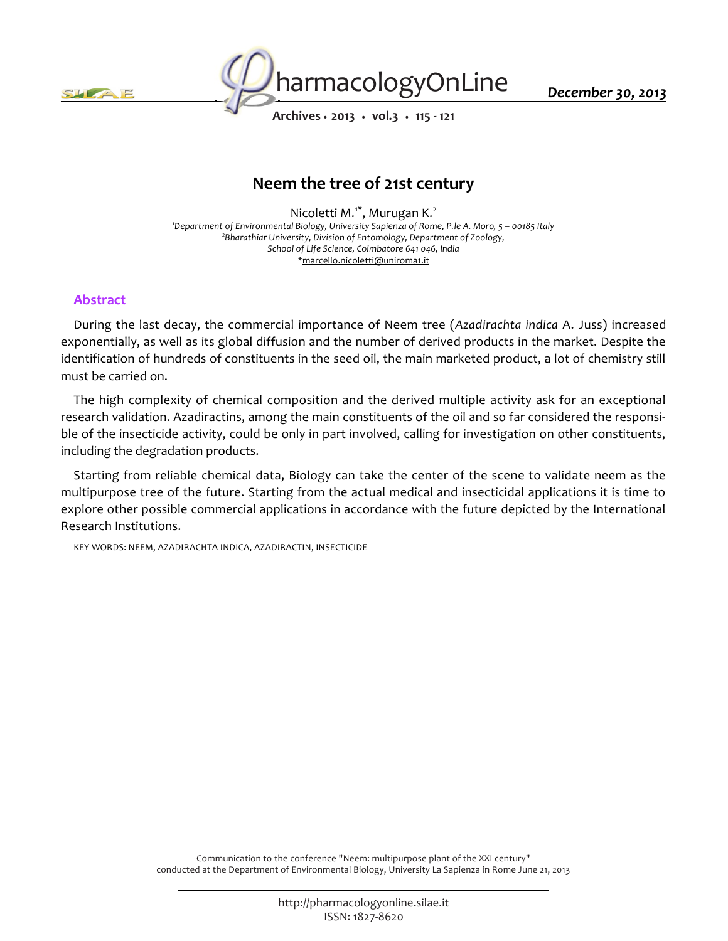



*December 30, 2013*

*Archives • 2013 • vol.3 • 115 - 121*

# *Neem the tree of 21st century*

*Nicoletti M.1\*, Murugan K.<sup>2</sup> <sup>1</sup>Department of Environmental Biology, University Sapienza of Rome, P.le A. Moro, 5 – 00185 Italy 2 Bharathiar University, Division of Entomology, Department of Zoology, School of Life Science, Coimbatore 641 046, India \*marcello.nicoletti@uniroma1.it*

### *Abstract*

*During the last decay, the commercial importance of Neem tree (Azadirachta indica A. Juss) increased exponentially, as well as its global diffusion and the number of derived products in the market. Despite the identification of hundreds of constituents in the seed oil, the main marketed product, a lot of chemistry still must be carried on.*

*The high complexity of chemical composition and the derived multiple activity ask for an exceptional research validation. Azadiractins, among the main constituents of the oil and so far considered the responsible of the insecticide activity, could be only in part involved, calling for investigation on other constituents, including the degradation products.*

*Starting from reliable chemical data, Biology can take the center of the scene to validate neem as the multipurpose tree of the future. Starting from the actual medical and insecticidal applications it is time to*  explore other possible commercial applications in accordance with the future depicted by the International *Research Institutions.*

*KEY WORDS: NEEM, AZADIRACHTA INDICA, AZADIRACTIN, INSECTICIDE*

*Communication to the conference "Neem: multipurpose plant of the XXI century" conducted at the Department of Environmental Biology, University La Sapienza in Rome June 21, 2013*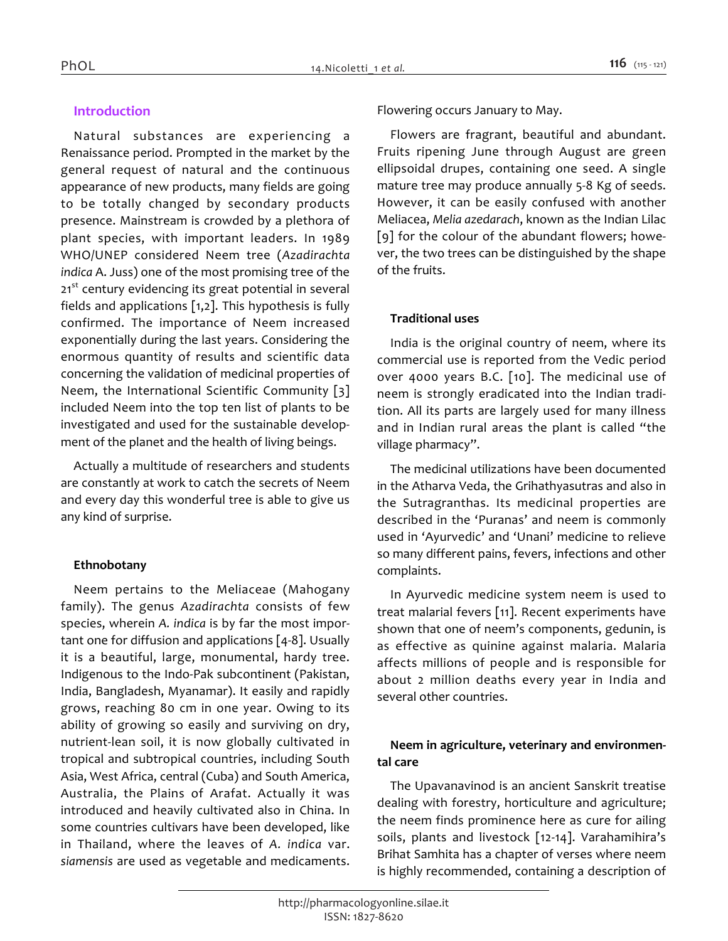# *Introduction*

*Natural substances are experiencing a Renaissance period. Prompted in the market by the general request of natural and the continuous appearance of new products, many fields are going to be totally changed by secondary products presence. Mainstream is crowded by a plethora of plant species, with important leaders. In 1989 WHO/UNEP considered Neem tree (Azadirachta indica A. Juss) one of the most promising tree of the 21st century evidencing its great potential in several fields and applications [1,2]. This hypothesis is fully confirmed. The importance of Neem increased exponentially during the last years. Considering the enormous quantity of results and scientific data concerning the validation of medicinal properties of Neem, the International Scientific Community [3] included Neem into the top ten list of plants to be investigated and used for the sustainable development of the planet and the health of living beings.*

*Actually a multitude of researchers and students are constantly at work to catch the secrets of Neem and every day this wonderful tree is able to give us any kind of surprise.*

## *Ethnobotany*

*Neem pertains to the Meliaceae (Mahogany family). The genus Azadirachta consists of few species, wherein A. indica is by far the most important one for diffusion and applications [4-8]. Usually it is a beautiful, large, monumental, hardy tree. Indigenous to the Indo-Pak subcontinent (Pakistan, India, Bangladesh, Myanamar). It easily and rapidly grows, reaching 80 cm in one year. Owing to its ability of growing so easily and surviving on dry, nutrient-lean soil, it is now globally cultivated in tropical and subtropical countries, including South Asia, West Africa, central (Cuba) and South America, Australia, the Plains of Arafat. Actually it was introduced and heavily cultivated also in China. In some countries cultivars have been developed, like in Thailand, where the leaves of A. indica var. siamensis are used as vegetable and medicaments.* 

*Flowering occurs January to May.*

*Flowers are fragrant, beautiful and abundant. Fruits ripening June through August are green ellipsoidal drupes, containing one seed. A single mature tree may produce annually 5-8 Kg of seeds. However, it can be easily confused with another Meliacea, Melia azedarach, known as the Indian Lilac [9] for the colour of the abundant flowers; however, the two trees can be distinguished by the shape of the fruits.*

## *Traditional uses*

*India is the original country of neem, where its commercial use is reported from the Vedic period over 4000 years B.C. [10]. The medicinal use of neem is strongly eradicated into the Indian tradition. All its parts are largely used for many illness and in Indian rural areas the plant is called "the village pharmacy".*

*The medicinal utilizations have been documented in the Atharva Veda, the Grihathyasutras and also in the Sutragranthas. Its medicinal properties are described in the 'Puranas' and neem is commonly used in 'Ayurvedic' and 'Unani' medicine to relieve so many different pains, fevers, infections and other complaints.*

*In Ayurvedic medicine system neem is used to treat malarial fevers [11]. Recent experiments have shown that one of neem's components, gedunin, is as effective as quinine against malaria. Malaria affects millions of people and is responsible for about 2 million deaths every year in India and several other countries.*

# *Neem in agriculture, veterinary and environmental care*

*The Upavanavinod is an ancient Sanskrit treatise dealing with forestry, horticulture and agriculture; the neem finds prominence here as cure for ailing soils, plants and livestock [12-14]. Varahamihira's Brihat Samhita has a chapter of verses where neem is highly recommended, containing a description of*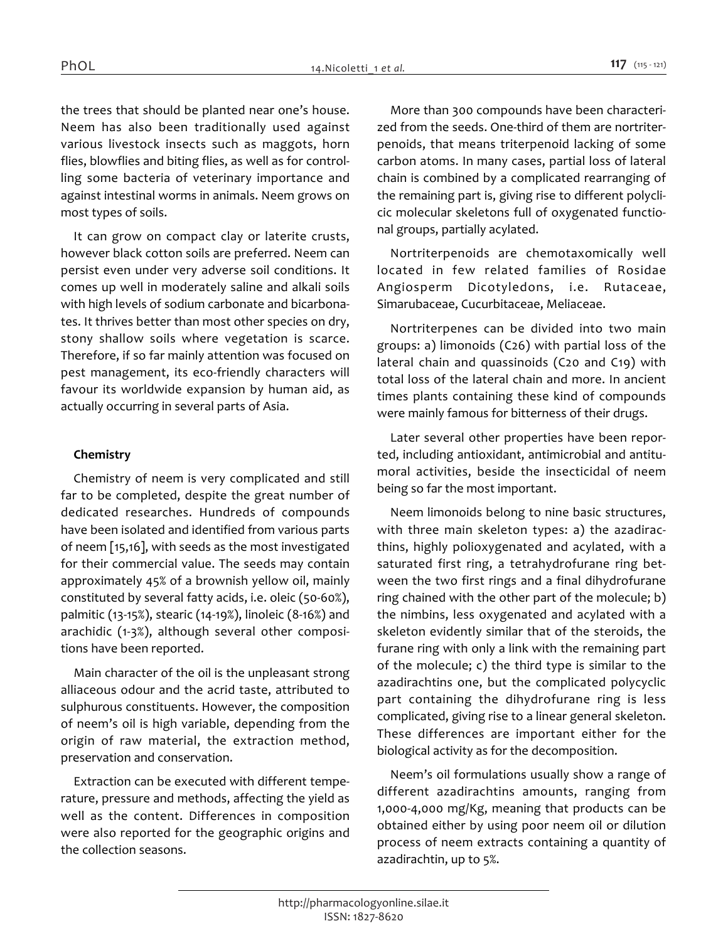*the trees that should be planted near one's house. Neem has also been traditionally used against various livestock insects such as maggots, horn flies, blowflies and biting flies, as well as for controlling some bacteria of veterinary importance and against intestinal worms in animals. Neem grows on most types of soils.*

*It can grow on compact clay or laterite crusts, however black cotton soils are preferred. Neem can persist even under very adverse soil conditions. It comes up well in moderately saline and alkali soils with high levels of sodium carbonate and bicarbonates. It thrives better than most other species on dry, stony shallow soils where vegetation is scarce. Therefore, if so far mainly attention was focused on pest management, its eco-friendly characters will favour its worldwide expansion by human aid, as actually occurring in several parts of Asia.*

### *Chemistry*

*Chemistry of neem is very complicated and still far to be completed, despite the great number of dedicated researches. Hundreds of compounds have been isolated and identified from various parts of neem [15,16], with seeds as the most investigated for their commercial value. The seeds may contain approximately 45% of a brownish yellow oil, mainly constituted by several fatty acids, i.e. oleic (50-60%), palmitic (13-15%), stearic (14-19%), linoleic (8-16%) and arachidic (1-3%), although several other compositions have been reported.*

*Main character of the oil is the unpleasant strong alliaceous odour and the acrid taste, attributed to sulphurous constituents. However, the composition of neem's oil is high variable, depending from the origin of raw material, the extraction method, preservation and conservation.*

*Extraction can be executed with different temperature, pressure and methods, affecting the yield as well as the content. Differences in composition were also reported for the geographic origins and the collection seasons.*

*More than 300 compounds have been characterized from the seeds. One-third of them are nortriterpenoids, that means triterpenoid lacking of some carbon atoms. In many cases, partial loss of lateral chain is combined by a complicated rearranging of the remaining part is, giving rise to different polyclicic molecular skeletons full of oxygenated functional groups, partially acylated.*

*Nortriterpenoids are chemotaxomically well located in few related families of Rosidae Angiosperm Dicotyledons, i.e. Rutaceae, Simarubaceae, Cucurbitaceae, Meliaceae.*

*Nortriterpenes can be divided into two main groups: a) limonoids (C26) with partial loss of the lateral chain and quassinoids (C20 and C19) with total loss of the lateral chain and more. In ancient times plants containing these kind of compounds were mainly famous for bitterness of their drugs.*

*Later several other properties have been reported, including antioxidant, antimicrobial and antitumoral activities, beside the insecticidal of neem being so far the most important.*

*Neem limonoids belong to nine basic structures, with three main skeleton types: a) the azadiracthins, highly polioxygenated and acylated, with a saturated first ring, a tetrahydrofurane ring between the two first rings and a final dihydrofurane ring chained with the other part of the molecule; b) the nimbins, less oxygenated and acylated with a skeleton evidently similar that of the steroids, the furane ring with only a link with the remaining part of the molecule; c) the third type is similar to the azadirachtins one, but the complicated polycyclic part containing the dihydrofurane ring is less complicated, giving rise to a linear general skeleton. These differences are important either for the biological activity as for the decomposition.*

*Neem's oil formulations usually show a range of different azadirachtins amounts, ranging from 1,000-4,000 mg/Kg, meaning that products can be obtained either by using poor neem oil or dilution process of neem extracts containing a quantity of azadirachtin, up to 5%.*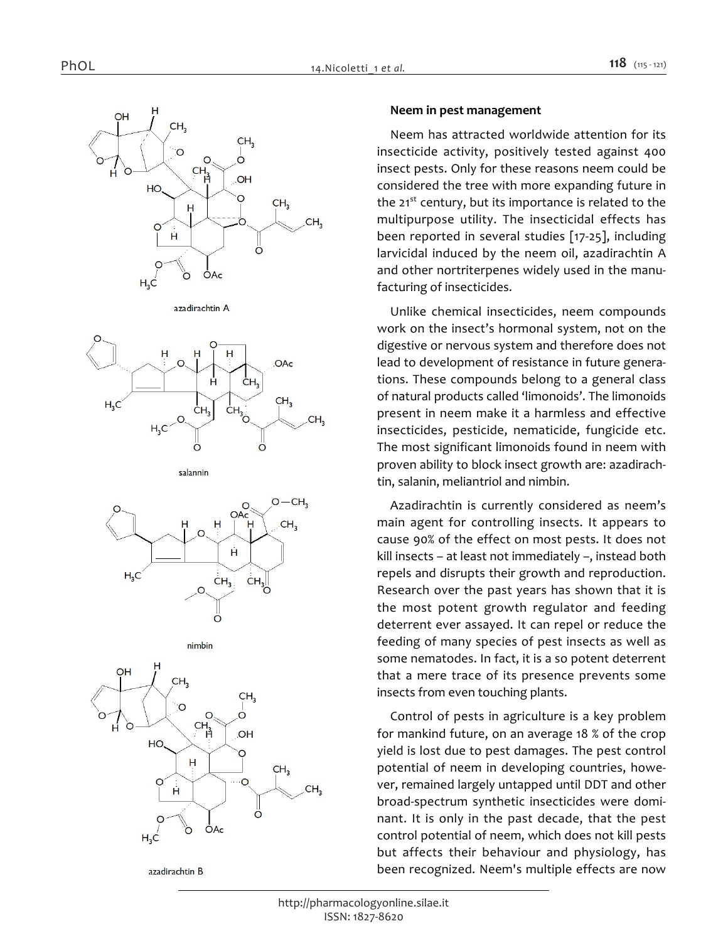





salannin







azadirachtin B

#### *Neem in pest management*

*Neem has attracted worldwide attention for its insecticide activity, positively tested against 400 insect pests. Only for these reasons neem could be considered the tree with more expanding future in the 21st century, but its importance is related to the multipurpose utility. The insecticidal effects has been reported in several studies [17-25], including larvicidal induced by the neem oil, azadirachtin A and other nortriterpenes widely used in the manufacturing of insecticides.*

*Unlike chemical insecticides, neem compounds work on the insect's hormonal system, not on the digestive or nervous system and therefore does not lead to development of resistance in future generations. These compounds belong to a general class of natural products called 'limonoids'. The limonoids present in neem make it a harmless and effective insecticides, pesticide, nematicide, fungicide etc. The most significant limonoids found in neem with proven ability to block insect growth are: azadirachtin, salanin, meliantriol and nimbin.*

*Azadirachtin is currently considered as neem's main agent for controlling insects. It appears to cause 90% of the effect on most pests. It does not kill insects – at least not immediately –, instead both repels and disrupts their growth and reproduction. Research over the past years has shown that it is the most potent growth regulator and feeding deterrent ever assayed. It can repel or reduce the feeding of many species of pest insects as well as some nematodes. In fact, it is a so potent deterrent that a mere trace of its presence prevents some insects from even touching plants.*

*Control of pests in agriculture is a key problem for mankind future, on an average 18 % of the crop yield is lost due to pest damages. The pest control potential of neem in developing countries, however, remained largely untapped until DDT and other broad-spectrum synthetic insecticides were dominant. It is only in the past decade, that the pest control potential of neem, which does not kill pests but affects their behaviour and physiology, has been recognized. Neem's multiple effects are now*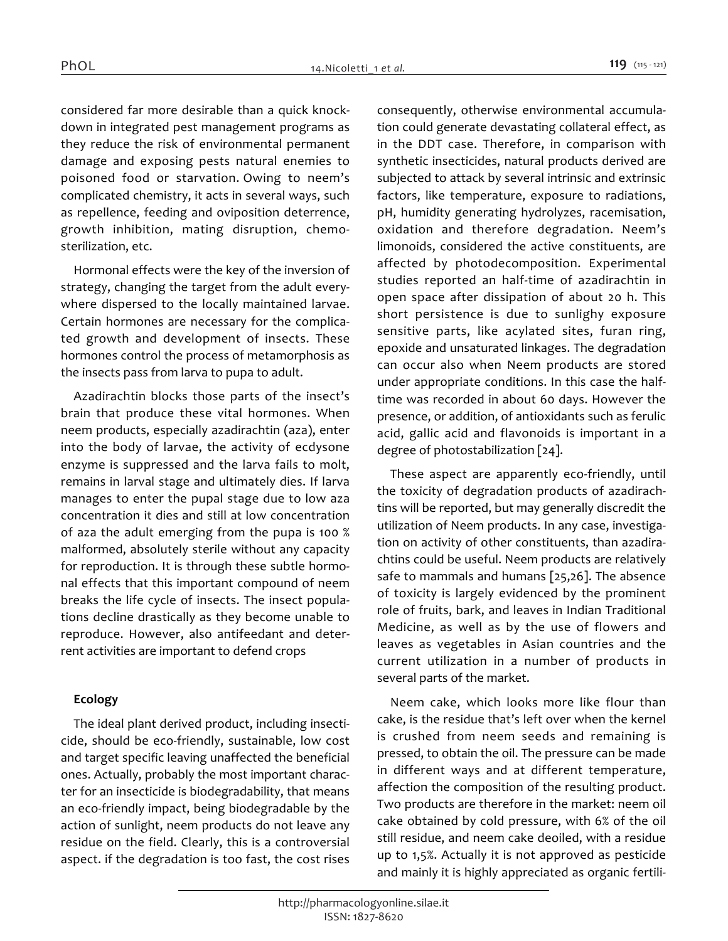*considered far more desirable than a quick knockdown in integrated pest management programs as they reduce the risk of environmental permanent damage and exposing pests natural enemies to poisoned food or starvation. Owing to neem's complicated chemistry, it acts in several ways, such as repellence, feeding and oviposition deterrence, growth inhibition, mating disruption, chemosterilization, etc.*

*Hormonal effects were the key of the inversion of strategy, changing the target from the adult everywhere dispersed to the locally maintained larvae. Certain hormones are necessary for the complicated growth and development of insects. These hormones control the process of metamorphosis as the insects pass from larva to pupa to adult.*

*Azadirachtin blocks those parts of the insect's brain that produce these vital hormones. When neem products, especially azadirachtin (aza), enter into the body of larvae, the activity of ecdysone enzyme is suppressed and the larva fails to molt, remains in larval stage and ultimately dies. If larva manages to enter the pupal stage due to low aza concentration it dies and still at low concentration of aza the adult emerging from the pupa is 100 % malformed, absolutely sterile without any capacity for reproduction. It is through these subtle hormonal effects that this important compound of neem breaks the life cycle of insects. The insect populations decline drastically as they become unable to reproduce. However, also antifeedant and deterrent activities are important to defend crops*

### *Ecology*

*The ideal plant derived product, including insecticide, should be eco-friendly, sustainable, low cost and target specific leaving unaffected the beneficial ones. Actually, probably the most important character for an insecticide is biodegradability, that means an eco-friendly impact, being biodegradable by the action of sunlight, neem products do not leave any residue on the field. Clearly, this is a controversial aspect. if the degradation is too fast, the cost rises* 

*consequently, otherwise environmental accumulation could generate devastating collateral effect, as in the DDT case. Therefore, in comparison with synthetic insecticides, natural products derived are subjected to attack by several intrinsic and extrinsic factors, like temperature, exposure to radiations, pH, humidity generating hydrolyzes, racemisation, oxidation and therefore degradation. Neem's limonoids, considered the active constituents, are affected by photodecomposition. Experimental studies reported an half-time of azadirachtin in open space after dissipation of about 20 h. This short persistence is due to sunlighy exposure sensitive parts, like acylated sites, furan ring, epoxide and unsaturated linkages. The degradation can occur also when Neem products are stored under appropriate conditions. In this case the halftime was recorded in about 60 days. However the presence, or addition, of antioxidants such as ferulic acid, gallic acid and flavonoids is important in a degree of photostabilization [24].*

*These aspect are apparently eco-friendly, until the toxicity of degradation products of azadirachtins will be reported, but may generally discredit the utilization of Neem products. In any case, investigation on activity of other constituents, than azadirachtins could be useful. Neem products are relatively safe to mammals and humans [25,26]. The absence of toxicity is largely evidenced by the prominent role of fruits, bark, and leaves in Indian Traditional Medicine, as well as by the use of flowers and leaves as vegetables in Asian countries and the current utilization in a number of products in several parts of the market.*

*Neem cake, which looks more like flour than cake, is the residue that's left over when the kernel is crushed from neem seeds and remaining is pressed, to obtain the oil. The pressure can be made in different ways and at different temperature, affection the composition of the resulting product. Two products are therefore in the market: neem oil cake obtained by cold pressure, with 6% of the oil still residue, and neem cake deoiled, with a residue up to 1,5%. Actually it is not approved as pesticide and mainly it is highly appreciated as organic fertili-*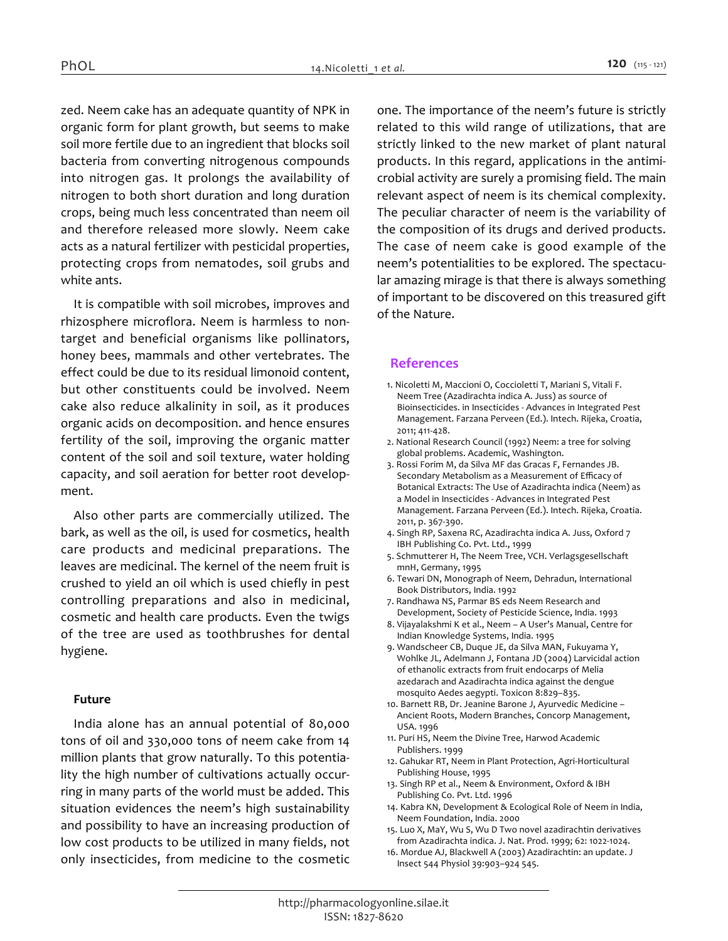*zed. Neem cake has an adequate quantity of NPK in organic form for plant growth, but seems to make soil more fertile due to an ingredient that blocks soil bacteria from converting nitrogenous compounds into nitrogen gas. It prolongs the availability of nitrogen to both short duration and long duration crops, being much less concentrated than neem oil and therefore released more slowly. Neem cake acts as a natural fertilizer with pesticidal properties, protecting crops from nematodes, soil grubs and white ants.*

*It is compatible with soil microbes, improves and rhizosphere microflora. Neem is harmless to nontarget and beneficial organisms like pollinators, honey bees, mammals and other vertebrates. The effect could be due to its residual limonoid content, but other constituents could be involved. Neem cake also reduce alkalinity in soil, as it produces organic acids on decomposition. and hence ensures fertility of the soil, improving the organic matter content of the soil and soil texture, water holding capacity, and soil aeration for better root development.*

*Also other parts are commercially utilized. The bark, as well as the oil, is used for cosmetics, health care products and medicinal preparations. The leaves are medicinal. The kernel of the neem fruit is crushed to yield an oil which is used chiefly in pest controlling preparations and also in medicinal, cosmetic and health care products. Even the twigs of the tree are used as toothbrushes for dental hygiene.*

#### *Future*

*India alone has an annual potential of 80,000 tons of oil and 330,000 tons of neem cake from 14 million plants that grow naturally. To this potentiality the high number of cultivations actually occurring in many parts of the world must be added. This situation evidences the neem's high sustainability and possibility to have an increasing production of low cost products to be utilized in many fields, not only insecticides, from medicine to the cosmetic*  *one. The importance of the neem's future is strictly related to this wild range of utilizations, that are strictly linked to the new market of plant natural products. In this regard, applications in the antimicrobial activity are surely a promising field. The main relevant aspect of neem is its chemical complexity. The peculiar character of neem is the variability of the composition of its drugs and derived products. The case of neem cake is good example of the neem's potentialities to be explored. The spectacular amazing mirage is that there is always something of important to be discovered on this treasured gift of the Nature.*

### *References*

- *1. Nicoletti M, Maccioni O, Coccioletti T, Mariani S, Vitali F. Neem Tree (Azadirachta indica A. Juss) as source of Bioinsecticides. in Insecticides - Advances in Integrated Pest Management. Farzana Perveen (Ed.). Intech. Rijeka, Croatia, 2011; 411-428.*
- *2. National Research Council (1992) Neem: a tree for solving global problems. Academic, Washington.*
- *3. Rossi Forim M, da Silva MF das Gracas F, Fernandes JB. Secondary Metabolism as a Measurement of Efficacy of Botanical Extracts: The Use of Azadirachta indica (Neem) as a Model in Insecticides - Advances in Integrated Pest Management. Farzana Perveen (Ed.). Intech. Rijeka, Croatia. 2011, p. 367-390.*
- *4. Singh RP, Saxena RC, Azadirachta indica A. Juss, Oxford 7 IBH Publishing Co. Pvt. Ltd., 1999*
- *5. Schmutterer H, The Neem Tree, VCH. Verlagsgesellschaft mnH, Germany, 1995*
- *6. Tewari DN, Monograph of Neem, Dehradun, International Book Distributors, India. 1992*
- *7. Randhawa NS, Parmar BS eds Neem Research and Development, Society of Pesticide Science, India. 1993*
- *8. Vijayalakshmi K et al., Neem A User's Manual, Centre for Indian Knowledge Systems, India. 1995*
- *9. Wandscheer CB, Duque JE, da Silva MAN, Fukuyama Y, Wohlke JL, Adelmann J, Fontana JD (2004) Larvicidal action of ethanolic extracts from fruit endocarps of Melia azedarach and Azadirachta indica against the dengue mosquito Aedes aegypti. Toxicon 8:829–835.*
- *10. Barnett RB, Dr. Jeanine Barone J, Ayurvedic Medicine Ancient Roots, Modern Branches, Concorp Management, USA. 1996*
- *11. Puri HS, Neem the Divine Tree, Harwod Academic Publishers. 1999*
- 12. Gahukar RT, Neem in Plant Protection, Agri-Horticultural *Publishing House, 1995*
- *13. Singh RP et al., Neem & Environment, Oxford & IBH Publishing Co. Pvt. Ltd. 1996*
- *14. Kabra KN, Development & Ecological Role of Neem in India, Neem Foundation, India. 2000*
- *15. Luo X, MaY, Wu S, Wu D Two novel azadirachtin derivatives from Azadirachta indica. J. Nat. Prod. 1999; 62: 1022-1024.*
- *16. Mordue AJ, Blackwell A (2003) Azadirachtin: an update. J Insect 544 Physiol 39:903–924 545.*